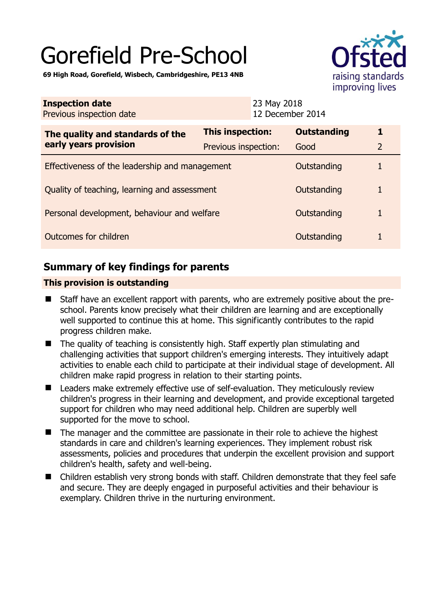# Gorefield Pre-School

raising standards improving lives

**69 High Road, Gorefield, Wisbech, Cambridgeshire, PE13 4NB** 

| <b>Inspection date</b><br>Previous inspection date        |                      | 23 May 2018<br>12 December 2014 |                    |                |
|-----------------------------------------------------------|----------------------|---------------------------------|--------------------|----------------|
| The quality and standards of the<br>early years provision | This inspection:     |                                 | <b>Outstanding</b> |                |
|                                                           | Previous inspection: |                                 | Good               | $\overline{2}$ |
| Effectiveness of the leadership and management            |                      |                                 | Outstanding        |                |
| Quality of teaching, learning and assessment              |                      |                                 | Outstanding        |                |
| Personal development, behaviour and welfare               |                      |                                 | Outstanding        |                |
| Outcomes for children                                     |                      |                                 | Outstanding        |                |

## **Summary of key findings for parents**

## **This provision is outstanding**

- Staff have an excellent rapport with parents, who are extremely positive about the preschool. Parents know precisely what their children are learning and are exceptionally well supported to continue this at home. This significantly contributes to the rapid progress children make.
- The quality of teaching is consistently high. Staff expertly plan stimulating and challenging activities that support children's emerging interests. They intuitively adapt activities to enable each child to participate at their individual stage of development. All children make rapid progress in relation to their starting points.
- Leaders make extremely effective use of self-evaluation. They meticulously review children's progress in their learning and development, and provide exceptional targeted support for children who may need additional help. Children are superbly well supported for the move to school.
- The manager and the committee are passionate in their role to achieve the highest standards in care and children's learning experiences. They implement robust risk assessments, policies and procedures that underpin the excellent provision and support children's health, safety and well-being.
- Children establish very strong bonds with staff. Children demonstrate that they feel safe and secure. They are deeply engaged in purposeful activities and their behaviour is exemplary. Children thrive in the nurturing environment.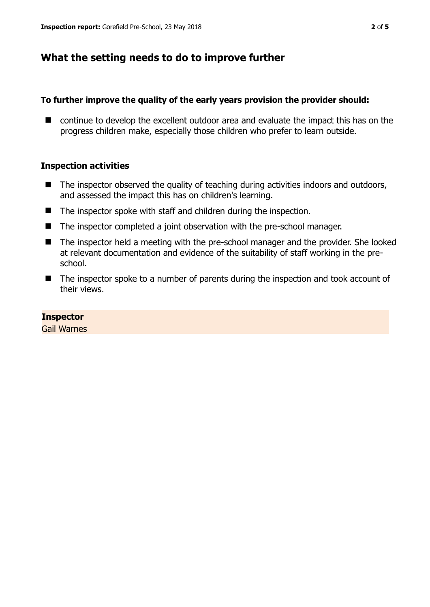## **What the setting needs to do to improve further**

### **To further improve the quality of the early years provision the provider should:**

■ continue to develop the excellent outdoor area and evaluate the impact this has on the progress children make, especially those children who prefer to learn outside.

### **Inspection activities**

- $\blacksquare$  The inspector observed the quality of teaching during activities indoors and outdoors, and assessed the impact this has on children's learning.
- The inspector spoke with staff and children during the inspection.
- The inspector completed a joint observation with the pre-school manager.
- The inspector held a meeting with the pre-school manager and the provider. She looked at relevant documentation and evidence of the suitability of staff working in the preschool.
- The inspector spoke to a number of parents during the inspection and took account of their views.

#### **Inspector**

Gail Warnes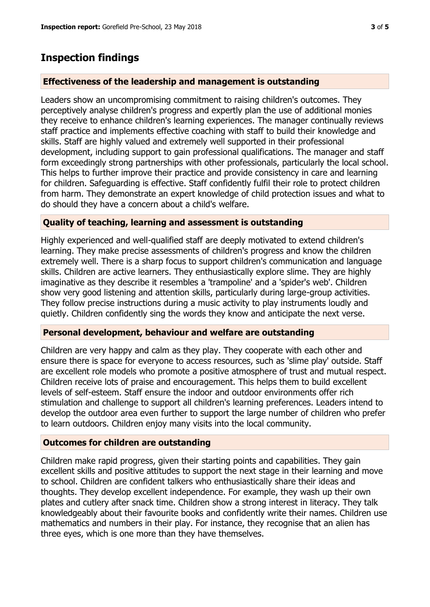# **Inspection findings**

## **Effectiveness of the leadership and management is outstanding**

Leaders show an uncompromising commitment to raising children's outcomes. They perceptively analyse children's progress and expertly plan the use of additional monies they receive to enhance children's learning experiences. The manager continually reviews staff practice and implements effective coaching with staff to build their knowledge and skills. Staff are highly valued and extremely well supported in their professional development, including support to gain professional qualifications. The manager and staff form exceedingly strong partnerships with other professionals, particularly the local school. This helps to further improve their practice and provide consistency in care and learning for children. Safeguarding is effective. Staff confidently fulfil their role to protect children from harm. They demonstrate an expert knowledge of child protection issues and what to do should they have a concern about a child's welfare.

## **Quality of teaching, learning and assessment is outstanding**

Highly experienced and well-qualified staff are deeply motivated to extend children's learning. They make precise assessments of children's progress and know the children extremely well. There is a sharp focus to support children's communication and language skills. Children are active learners. They enthusiastically explore slime. They are highly imaginative as they describe it resembles a 'trampoline' and a 'spider's web'. Children show very good listening and attention skills, particularly during large-group activities. They follow precise instructions during a music activity to play instruments loudly and quietly. Children confidently sing the words they know and anticipate the next verse.

## **Personal development, behaviour and welfare are outstanding**

Children are very happy and calm as they play. They cooperate with each other and ensure there is space for everyone to access resources, such as 'slime play' outside. Staff are excellent role models who promote a positive atmosphere of trust and mutual respect. Children receive lots of praise and encouragement. This helps them to build excellent levels of self-esteem. Staff ensure the indoor and outdoor environments offer rich stimulation and challenge to support all children's learning preferences. Leaders intend to develop the outdoor area even further to support the large number of children who prefer to learn outdoors. Children enjoy many visits into the local community.

## **Outcomes for children are outstanding**

Children make rapid progress, given their starting points and capabilities. They gain excellent skills and positive attitudes to support the next stage in their learning and move to school. Children are confident talkers who enthusiastically share their ideas and thoughts. They develop excellent independence. For example, they wash up their own plates and cutlery after snack time. Children show a strong interest in literacy. They talk knowledgeably about their favourite books and confidently write their names. Children use mathematics and numbers in their play. For instance, they recognise that an alien has three eyes, which is one more than they have themselves.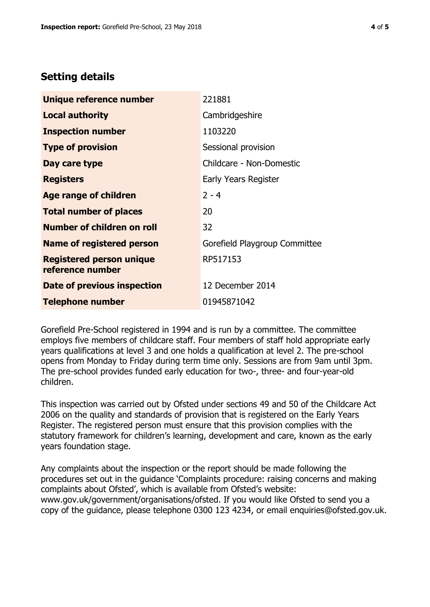## **Setting details**

| Unique reference number                             | 221881                        |  |
|-----------------------------------------------------|-------------------------------|--|
| <b>Local authority</b>                              | Cambridgeshire                |  |
| <b>Inspection number</b>                            | 1103220                       |  |
| <b>Type of provision</b>                            | Sessional provision           |  |
| Day care type                                       | Childcare - Non-Domestic      |  |
| <b>Registers</b>                                    | Early Years Register          |  |
| <b>Age range of children</b>                        | $2 - 4$                       |  |
| <b>Total number of places</b>                       | 20                            |  |
| Number of children on roll                          | 32                            |  |
| <b>Name of registered person</b>                    | Gorefield Playgroup Committee |  |
| <b>Registered person unique</b><br>reference number | RP517153                      |  |
| Date of previous inspection                         | 12 December 2014              |  |
| <b>Telephone number</b>                             | 01945871042                   |  |

Gorefield Pre-School registered in 1994 and is run by a committee. The committee employs five members of childcare staff. Four members of staff hold appropriate early years qualifications at level 3 and one holds a qualification at level 2. The pre-school opens from Monday to Friday during term time only. Sessions are from 9am until 3pm. The pre-school provides funded early education for two-, three- and four-year-old children.

This inspection was carried out by Ofsted under sections 49 and 50 of the Childcare Act 2006 on the quality and standards of provision that is registered on the Early Years Register. The registered person must ensure that this provision complies with the statutory framework for children's learning, development and care, known as the early years foundation stage.

Any complaints about the inspection or the report should be made following the procedures set out in the guidance 'Complaints procedure: raising concerns and making complaints about Ofsted', which is available from Ofsted's website: www.gov.uk/government/organisations/ofsted. If you would like Ofsted to send you a copy of the guidance, please telephone 0300 123 4234, or email enquiries@ofsted.gov.uk.